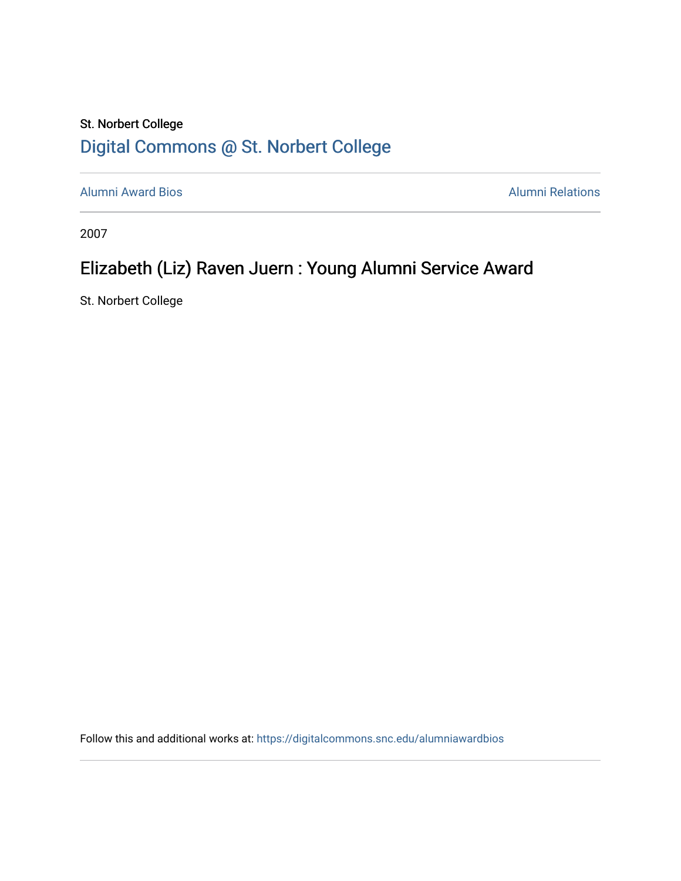## St. Norbert College [Digital Commons @ St. Norbert College](https://digitalcommons.snc.edu/)

[Alumni Award Bios](https://digitalcommons.snc.edu/alumniawardbios) **Alumni Relations** Alumni Relations

2007

## Elizabeth (Liz) Raven Juern : Young Alumni Service Award

St. Norbert College

Follow this and additional works at: [https://digitalcommons.snc.edu/alumniawardbios](https://digitalcommons.snc.edu/alumniawardbios?utm_source=digitalcommons.snc.edu%2Falumniawardbios%2F40&utm_medium=PDF&utm_campaign=PDFCoverPages)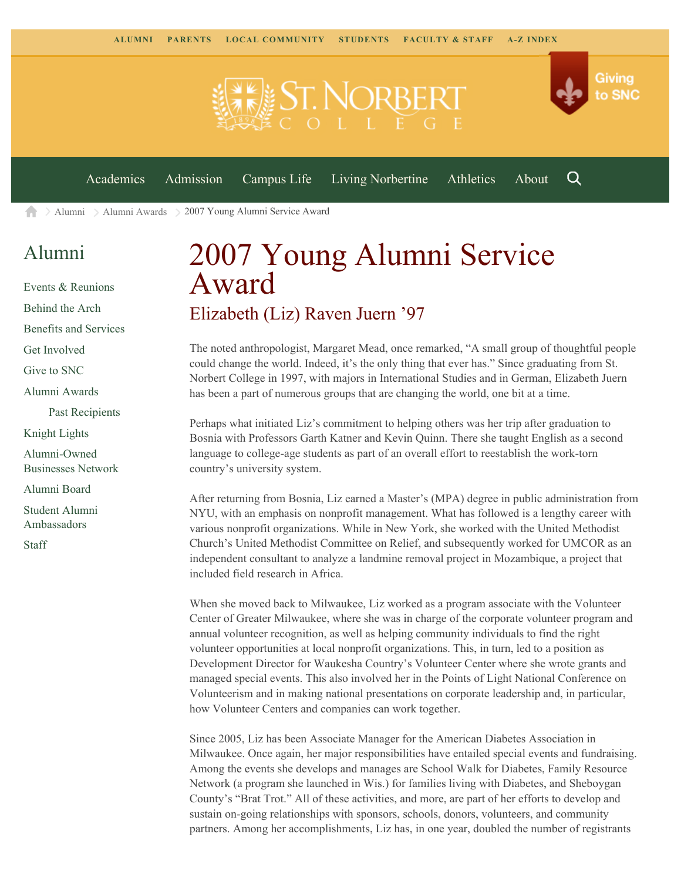

[Academics](https://www.snc.edu/academics) [Admission](https://www.snc.edu/admission) [Campus Life](https://www.snc.edu/campuslife) [Living Norbertine](https://www.snc.edu/livingnorbertine) [Athletics](https://www.snc.edu/athletics) [About](https://www.snc.edu/about)

Q

Giving

to SNC

[Alumni](https://www.snc.edu/alumni/) [Alumni Awards](https://www.snc.edu/alumni/awards/) 2007 Young Alumni Service Award A

## [Alumni](https://www.snc.edu/alumni/index.html)

[Events & Reunions](https://www.snc.edu/alumni/event/index.html) [Behind the Arch](https://www.snc.edu/alumni/event/behindthearch/) [Benefits and Services](https://www.snc.edu/alumni/benefits.html) [Get Involved](https://www.snc.edu/alumni/getinvolved.html) [Give to SNC](http://giving.snc.edu/) [Alumni Awards](https://www.snc.edu/alumni/awards/index.html) [Past Recipients](https://www.snc.edu/alumni/awards/recipients.html) [Knight Lights](https://www.snc.edu/alumni/knightlights/index.html) [Alumni-Owned](https://www.snc.edu/alumni/directory/index.html) [Businesses Network](https://www.snc.edu/alumni/directory/index.html) [Alumni Board](https://www.snc.edu/alumni/alumniboard.html) [Student Alumni](https://www.snc.edu/alumni/saa.html) [Ambassadors](https://www.snc.edu/alumni/saa.html) [Staff](https://www.snc.edu/alumni/contactus.html)

## 2007 Young Alumni Service Award Elizabeth (Liz) Raven Juern '97

The noted anthropologist, Margaret Mead, once remarked, "A small group of thoughtful people could change the world. Indeed, it's the only thing that ever has." Since graduating from St. Norbert College in 1997, with majors in International Studies and in German, Elizabeth Juern has been a part of numerous groups that are changing the world, one bit at a time.

Perhaps what initiated Liz's commitment to helping others was her trip after graduation to Bosnia with Professors Garth Katner and Kevin Quinn. There she taught English as a second language to college-age students as part of an overall effort to reestablish the work-torn country's university system.

After returning from Bosnia, Liz earned a Master's (MPA) degree in public administration from NYU, with an emphasis on nonprofit management. What has followed is a lengthy career with various nonprofit organizations. While in New York, she worked with the United Methodist Church's United Methodist Committee on Relief, and subsequently worked for UMCOR as an independent consultant to analyze a landmine removal project in Mozambique, a project that included field research in Africa.

When she moved back to Milwaukee, Liz worked as a program associate with the Volunteer Center of Greater Milwaukee, where she was in charge of the corporate volunteer program and annual volunteer recognition, as well as helping community individuals to find the right volunteer opportunities at local nonprofit organizations. This, in turn, led to a position as Development Director for Waukesha Country's Volunteer Center where she wrote grants and managed special events. This also involved her in the Points of Light National Conference on Volunteerism and in making national presentations on corporate leadership and, in particular, how Volunteer Centers and companies can work together.

Since 2005, Liz has been Associate Manager for the American Diabetes Association in Milwaukee. Once again, her major responsibilities have entailed special events and fundraising. Among the events she develops and manages are School Walk for Diabetes, Family Resource Network (a program she launched in Wis.) for families living with Diabetes, and Sheboygan County's "Brat Trot." All of these activities, and more, are part of her efforts to develop and sustain on-going relationships with sponsors, schools, donors, volunteers, and community partners. Among her accomplishments, Liz has, in one year, doubled the number of registrants